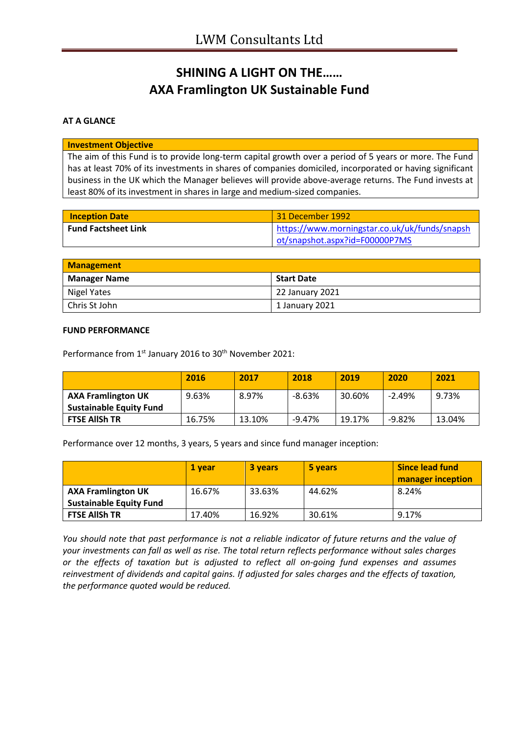# **SHINING A LIGHT ON THE…… AXA Framlington UK Sustainable Fund**

### **AT A GLANCE**

#### **Investment Objective**

The aim of this Fund is to provide long-term capital growth over a period of 5 years or more. The Fund has at least 70% of its investments in shares of companies domiciled, incorporated or having significant business in the UK which the Manager believes will provide above-average returns. The Fund invests at least 80% of its investment in shares in large and medium-sized companies.

| <b>Inception Date</b>      | 31 December 1992                              |
|----------------------------|-----------------------------------------------|
| <b>Fund Factsheet Link</b> | https://www.morningstar.co.uk/uk/funds/snapsh |
|                            | ot/snapshot.aspx?id=F00000P7MS                |

| <b>Management</b>   |                   |
|---------------------|-------------------|
| <b>Manager Name</b> | <b>Start Date</b> |
| Nigel Yates         | 22 January 2021   |
| Chris St John       | 1 January 2021    |

### **FUND PERFORMANCE**

Performance from 1<sup>st</sup> January 2016 to 30<sup>th</sup> November 2021:

|                                                             | 2016   | 2017   | 2018      | 2019   | 2020     | 2021   |
|-------------------------------------------------------------|--------|--------|-----------|--------|----------|--------|
| <b>AXA Framlington UK</b><br><b>Sustainable Equity Fund</b> | 9.63%  | 8.97%  | $-8.63%$  | 30.60% | $-2.49%$ | 9.73%  |
| <b>FTSE AllSh TR</b>                                        | 16.75% | 13.10% | $-9.47\%$ | 19.17% | $-9.82%$ | 13.04% |

Performance over 12 months, 3 years, 5 years and since fund manager inception:

|                                                             | 1 vear | 3 years | 5 years | <b>Since lead fund</b><br><b>manager inception</b> |
|-------------------------------------------------------------|--------|---------|---------|----------------------------------------------------|
| <b>AXA Framlington UK</b><br><b>Sustainable Equity Fund</b> | 16.67% | 33.63%  | 44.62%  | 8.24%                                              |
| <b>FTSE AllSh TR</b>                                        | 17.40% | 16.92%  | 30.61%  | 9.17%                                              |

*You should note that past performance is not a reliable indicator of future returns and the value of your investments can fall as well as rise. The total return reflects performance without sales charges or the effects of taxation but is adjusted to reflect all on-going fund expenses and assumes reinvestment of dividends and capital gains. If adjusted for sales charges and the effects of taxation, the performance quoted would be reduced.*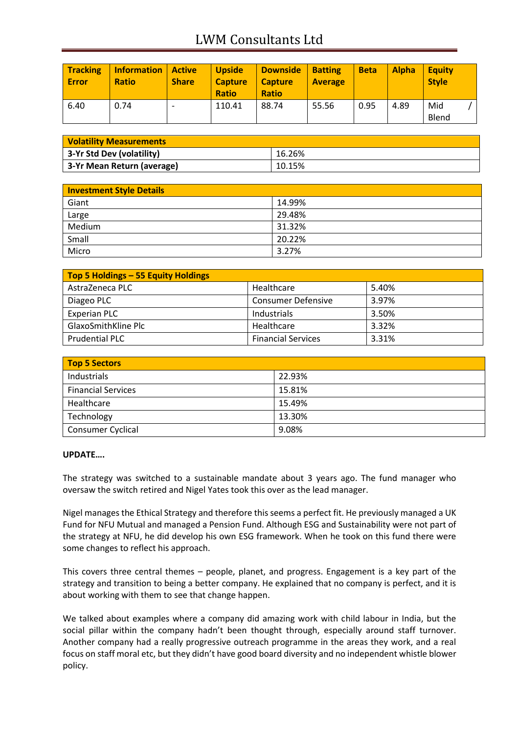## LWM Consultants Ltd

| <b>Tracking</b><br><b>Error</b> | <b>Information</b><br><b>Ratio</b> | <b>Active</b><br><b>Share</b> | <b>Upside</b><br><b>Capture</b><br><b>Ratio</b> | <b>Downside</b><br><b>Capture</b><br><b>Ratio</b> | <b>Batting</b><br><b>Average</b> | <b>Beta</b> | <b>Alpha</b> | <b>Equity</b><br><b>Style</b> |  |
|---------------------------------|------------------------------------|-------------------------------|-------------------------------------------------|---------------------------------------------------|----------------------------------|-------------|--------------|-------------------------------|--|
| 6.40                            | 0.74                               |                               | 110.41                                          | 88.74                                             | 55.56                            | 0.95        | 4.89         | Mid<br>Blend                  |  |

| <b>Volatility Measurements</b> |        |  |
|--------------------------------|--------|--|
| 3-Yr Std Dev (volatility)      | 16.26% |  |
| 3-Yr Mean Return (average)     | 10.15% |  |

| <b>Investment Style Details</b> |        |
|---------------------------------|--------|
| Giant                           | 14.99% |
| Large                           | 29.48% |
| Medium                          | 31.32% |
| Small                           | 20.22% |
| Micro                           | 3.27%  |

| Top 5 Holdings - 55 Equity Holdings |                           |       |
|-------------------------------------|---------------------------|-------|
| AstraZeneca PLC                     | Healthcare                | 5.40% |
| Diageo PLC                          | <b>Consumer Defensive</b> | 3.97% |
| <b>Experian PLC</b>                 | Industrials               | 3.50% |
| GlaxoSmithKline Plc                 | Healthcare                | 3.32% |
| <b>Prudential PLC</b>               | <b>Financial Services</b> | 3.31% |

| <b>Top 5 Sectors</b>      |        |  |
|---------------------------|--------|--|
| Industrials               | 22.93% |  |
| <b>Financial Services</b> | 15.81% |  |
| Healthcare                | 15.49% |  |
| Technology                | 13.30% |  |
| <b>Consumer Cyclical</b>  | 9.08%  |  |

### **UPDATE….**

The strategy was switched to a sustainable mandate about 3 years ago. The fund manager who oversaw the switch retired and Nigel Yates took this over as the lead manager.

Nigel manages the Ethical Strategy and therefore this seems a perfect fit. He previously managed a UK Fund for NFU Mutual and managed a Pension Fund. Although ESG and Sustainability were not part of the strategy at NFU, he did develop his own ESG framework. When he took on this fund there were some changes to reflect his approach.

This covers three central themes – people, planet, and progress. Engagement is a key part of the strategy and transition to being a better company. He explained that no company is perfect, and it is about working with them to see that change happen.

We talked about examples where a company did amazing work with child labour in India, but the social pillar within the company hadn't been thought through, especially around staff turnover. Another company had a really progressive outreach programme in the areas they work, and a real focus on staff moral etc, but they didn't have good board diversity and no independent whistle blower policy.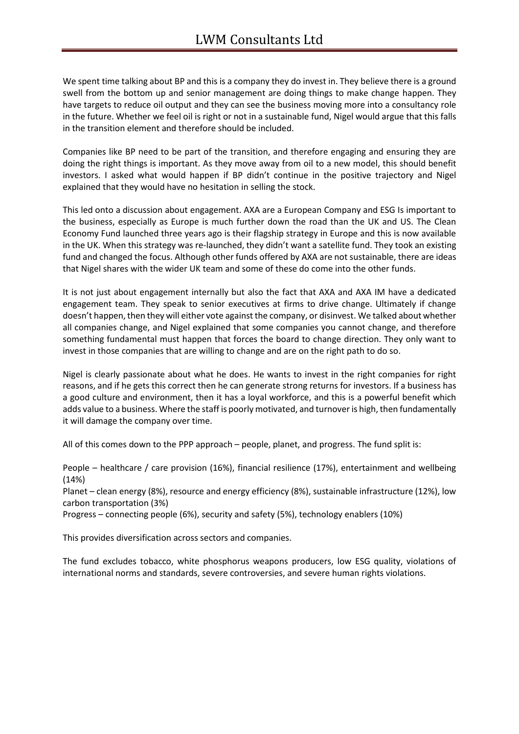We spent time talking about BP and this is a company they do invest in. They believe there is a ground swell from the bottom up and senior management are doing things to make change happen. They have targets to reduce oil output and they can see the business moving more into a consultancy role in the future. Whether we feel oil is right or not in a sustainable fund, Nigel would argue that this falls in the transition element and therefore should be included.

Companies like BP need to be part of the transition, and therefore engaging and ensuring they are doing the right things is important. As they move away from oil to a new model, this should benefit investors. I asked what would happen if BP didn't continue in the positive trajectory and Nigel explained that they would have no hesitation in selling the stock.

This led onto a discussion about engagement. AXA are a European Company and ESG Is important to the business, especially as Europe is much further down the road than the UK and US. The Clean Economy Fund launched three years ago is their flagship strategy in Europe and this is now available in the UK. When this strategy was re-launched, they didn't want a satellite fund. They took an existing fund and changed the focus. Although other funds offered by AXA are not sustainable, there are ideas that Nigel shares with the wider UK team and some of these do come into the other funds.

It is not just about engagement internally but also the fact that AXA and AXA IM have a dedicated engagement team. They speak to senior executives at firms to drive change. Ultimately if change doesn't happen, then they will either vote against the company, or disinvest. We talked about whether all companies change, and Nigel explained that some companies you cannot change, and therefore something fundamental must happen that forces the board to change direction. They only want to invest in those companies that are willing to change and are on the right path to do so.

Nigel is clearly passionate about what he does. He wants to invest in the right companies for right reasons, and if he gets this correct then he can generate strong returns for investors. If a business has a good culture and environment, then it has a loyal workforce, and this is a powerful benefit which adds value to a business. Where the staff is poorly motivated, and turnover is high, then fundamentally it will damage the company over time.

All of this comes down to the PPP approach – people, planet, and progress. The fund split is:

People – healthcare / care provision (16%), financial resilience (17%), entertainment and wellbeing (14%)

Planet – clean energy (8%), resource and energy efficiency (8%), sustainable infrastructure (12%), low carbon transportation (3%)

Progress – connecting people (6%), security and safety (5%), technology enablers (10%)

This provides diversification across sectors and companies.

The fund excludes tobacco, white phosphorus weapons producers, low ESG quality, violations of international norms and standards, severe controversies, and severe human rights violations.